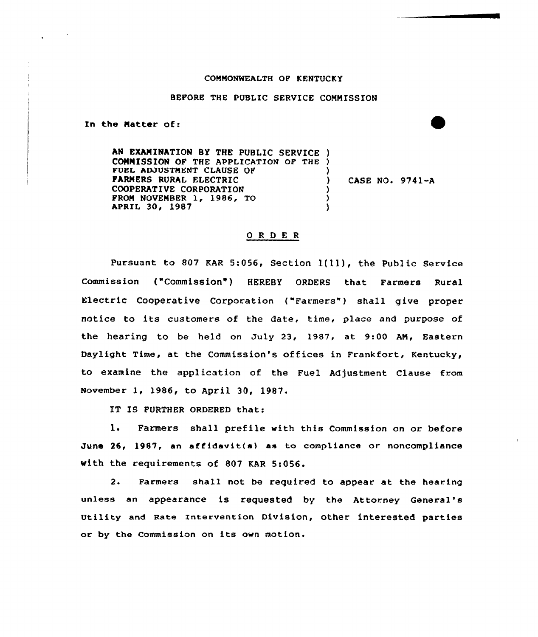## COMMONWEALTH OF KENTUCKY

## BEFORE THE PUBLIC SERVICE COMMISSION

In the Matter of:

AN EXAMINATION BY THE PUBLIC SERVICE ) COMMISSION OP THE APPLICATION OF THE ) FUEL ADJUSTMENT CLAUSE OF FARMERS RURAL ELECTRIC COOPERATIVE CORPORATION FROM NOVEMBER 1, 1986, TO APRIL 30, 1987 ) ) CASE NO. 9741-A ) ) )

## ORDER

pursuant to <sup>807</sup> KAR 5:056, section 1(ll), the Public service Commission ("Commission") HEREBY ORDERS that Farmers Rural Electric Cooperative Corporation ("Farmers") shall give proper notice to its customers of the date, time, place and purpose of the hearing to be held on July 23, 1987, at 9:00 AN, Eastern Daylight Time, at the Commission's offices in Frankfort, Kentucky, to examine the application of the Fuel Adjustment Clause from November 1< 1986< to April 30, 1987.

IT IS FURTHER ORDERED that:

1. Farmers shall prefile with this Commission on or before June 26, 1987, an affidavit(s) as to compliance or noncompliance with the requirements of 807 KAR 5:056.

2. Farmers shall not be required to appear at the hearing unless an appearance is requested by the Attorney General's Utility and Rate Intervention Division, other interested parties or by the Commission on its own motion.